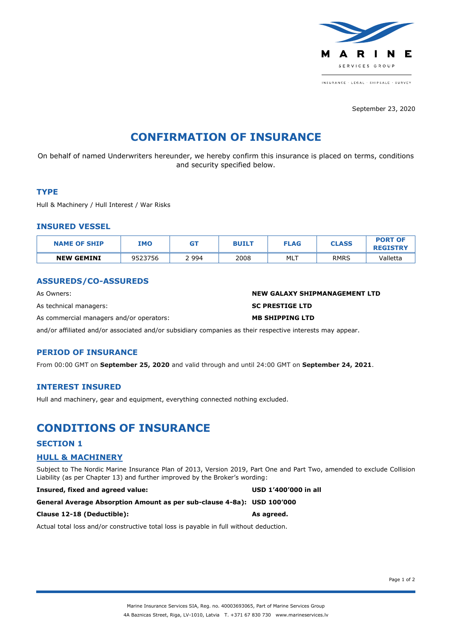

INSURANCE - LEGAL - SHIPSALE - SURVEY

September 23, 2020

# **CONFIRMATION OF INSURANCE**

On behalf of named Underwriters hereunder, we hereby confirm this insurance is placed on terms, conditions and security specified below.

#### **TYPE**

Hull & Machinery / Hull Interest / War Risks

#### **INSURED VESSEL**

| <b>NAME OF SHIP</b> | <b>IMO</b> | GT    | <b>BUILT</b> | <b>FLAG</b> | <b>CLASS</b> | <b>PORT OF</b><br><b>REGISTRY</b> |
|---------------------|------------|-------|--------------|-------------|--------------|-----------------------------------|
| <b>NEW GEMINI</b>   | 9523756    | 994 ؛ | 2008         | MLT         | <b>RMRS</b>  | Valletta                          |

## **ASSUREDS/CO-ASSUREDS**

As Owners: **NEW GALAXY SHIPMANAGEMENT LTD** As technical managers: **SC PRESTIGE LTD** As commercial managers and/or operators: **MB SHIPPING LTD**

and/or affiliated and/or associated and/or subsidiary companies as their respective interests may appear.

## **PERIOD OF INSURANCE**

From 00:00 GMT on **September 25, 2020** and valid through and until 24:00 GMT on **September 24, 2021**.

#### **INTEREST INSURED**

Hull and machinery, gear and equipment, everything connected nothing excluded.

## **CONDITIONS OF INSURANCE**

#### **SECTION 1**

## **HULL & MACHINERY**

Subject to The Nordic Marine Insurance Plan of 2013, Version 2019, Part One and Part Two, amended to exclude Collision Liability (as per Chapter 13) and further improved by the Broker's wording:

**Insured, fixed and agreed value: USD 1'400'000 in all**

```
General Average Absorption Amount as per sub-clause 4-8a): USD 100'000
```
#### **Clause 12-18 (Deductible): As agreed.**

Actual total loss and/or constructive total loss is payable in full without deduction.